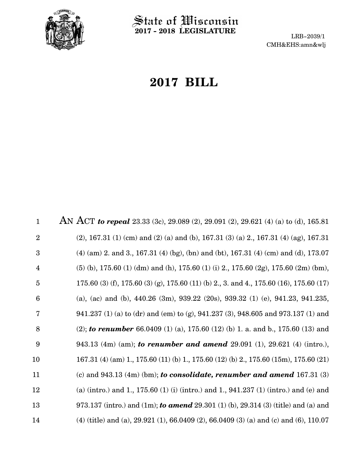

State of Wisconsin **2017 - 2018 LEGISLATURE**

LRB-2039/1 CMH&EHS:amn&wlj

# **2017 BILL**

AN ACT *to repeal* 23.33 (3c), 29.089 (2), 29.091 (2), 29.621 (4) (a) to (d), 165.81 (2), 167.31 (1) (cm) and (2) (a) and (b), 167.31 (3) (a) 2., 167.31 (4) (ag), 167.31 (4) (am) 2. and 3., 167.31 (4) (bg), (bn) and (bt), 167.31 (4) (cm) and (d), 173.07 (5) (b), 175.60 (1) (dm) and (h), 175.60 (1) (i) 2., 175.60 (2g), 175.60 (2m) (bm), 175.60 (3) (f), 175.60 (3) (g), 175.60 (11) (b) 2., 3. and 4., 175.60 (16), 175.60 (17) (a), (ac) and (b), 440.26 (3m), 939.22 (20s), 939.32 (1) (e), 941.23, 941.235, 941.237 (1) (a) to (dr) and (em) to (g), 941.237 (3), 948.605 and 973.137 (1) and (2); *to renumber* 66.0409 (1) (a), 175.60 (12) (b) 1. a. and b., 175.60 (13) and 943.13 (4m) (am); *to renumber and amend* 29.091 (1), 29.621 (4) (intro.), 167.31 (4) (am) 1., 175.60 (11) (b) 1., 175.60 (12) (b) 2., 175.60 (15m), 175.60 (21) (c) and 943.13 (4m) (bm); *to consolidate, renumber and amend* 167.31 (3) (a) (intro.) and 1., 175.60 (1) (i) (intro.) and 1., 941.237 (1) (intro.) and (e) and 973.137 (intro.) and (1m); *to amend* 29.301 (1) (b), 29.314 (3) (title) and (a) and (4) (title) and (a), 29.921 (1), 66.0409 (2), 66.0409 (3) (a) and (c) and (6), 110.07 1 2 3 4 5 6 7 8 9 10 11 12 13 14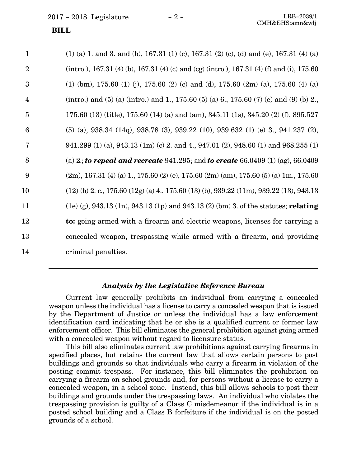2017 - 2018 Legislature - 2 - LRB-2039/1

## **BILL**

| $\mathbf{1}$            | $(1)$ (a) 1. and 3. and (b), 167.31 (1) (c), 167.31 (2) (c), (d) and (e), 167.31 (4) (a)            |
|-------------------------|-----------------------------------------------------------------------------------------------------|
| $\overline{2}$          | (intro.), 167.31 (4) (b), 167.31 (4) (c) and (cg) (intro.), 167.31 (4) (f) and (i), 175.60          |
| 3                       | $(1)$ (bm), 175.60 $(1)$ (j), 175.60 $(2)$ (c) and (d), 175.60 $(2m)$ (a), 175.60 $(4)$ (a)         |
| $\overline{\mathbf{4}}$ | (intro.) and (5) (a) (intro.) and 1, 175.60 (5) (a) 6, 175.60 (7) (e) and (9) (b) 2,                |
| $\overline{5}$          | 175.60 (13) (title), 175.60 (14) (a) and (am), 345.11 (1s), 345.20 (2) (f), 895.527                 |
| $6\phantom{1}6$         | $(5)$ (a), 938.34 (14q), 938.78 (3), 939.22 (10), 939.632 (1) (e) 3, 941.237 (2),                   |
| 7                       | 941.299 (1) (a), 943.13 (1m) (c) 2. and 4., 947.01 (2), 948.60 (1) and 968.255 (1)                  |
| 8                       | (a) 2.; to repeal and recreate 941.295; and to create 66.0409 (1) (ag), 66.0409                     |
| 9                       | $(2m)$ , 167.31 (4) (a) 1., 175.60 (2) (e), 175.60 (2m) (am), 175.60 (5) (a) 1m., 175.60            |
| 10                      | $(12)$ (b) 2. c., 175.60 $(12g)$ (a) 4., 175.60 $(13)$ (b), 939.22 $(11m)$ , 939.22 $(13)$ , 943.13 |
| 11                      | $(1e)$ (g), 943.13 (1n), 943.13 (1p) and 943.13 (2) (bm) 3. of the statutes; relating               |
| 12                      | to: going armed with a firearm and electric weapons, licenses for carrying a                        |
| 13                      | concealed weapon, trespassing while armed with a firearm, and providing                             |
| 14                      | criminal penalties.                                                                                 |

## *Analysis by the Legislative Reference Bureau*

Current law generally prohibits an individual from carrying a concealed weapon unless the individual has a license to carry a concealed weapon that is issued by the Department of Justice or unless the individual has a law enforcement identification card indicating that he or she is a qualified current or former law enforcement officer. This bill eliminates the general prohibition against going armed with a concealed weapon without regard to licensure status.

This bill also eliminates current law prohibitions against carrying firearms in specified places, but retains the current law that allows certain persons to post buildings and grounds so that individuals who carry a firearm in violation of the posting commit trespass. For instance, this bill eliminates the prohibition on carrying a firearm on school grounds and, for persons without a license to carry a concealed weapon, in a school zone. Instead, this bill allows schools to post their buildings and grounds under the trespassing laws. An individual who violates the trespassing provision is guilty of a Class C misdemeanor if the individual is in a posted school building and a Class B forfeiture if the individual is on the posted grounds of a school.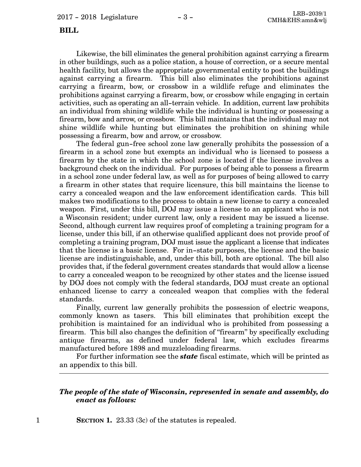#### **BILL**

Likewise, the bill eliminates the general prohibition against carrying a firearm in other buildings, such as a police station, a house of correction, or a secure mental health facility, but allows the appropriate governmental entity to post the buildings against carrying a firearm. This bill also eliminates the prohibitions against carrying a firearm, bow, or crossbow in a wildlife refuge and eliminates the prohibitions against carrying a firearm, bow, or crossbow while engaging in certain activities, such as operating an all-terrain vehicle. In addition, current law prohibits an individual from shining wildlife while the individual is hunting or possessing a firearm, bow and arrow, or crossbow. This bill maintains that the individual may not shine wildlife while hunting but eliminates the prohibition on shining while possessing a firearm, bow and arrow, or crossbow.

The federal gun-free school zone law generally prohibits the possession of a firearm in a school zone but exempts an individual who is licensed to possess a firearm by the state in which the school zone is located if the license involves a background check on the individual. For purposes of being able to possess a firearm in a school zone under federal law, as well as for purposes of being allowed to carry a firearm in other states that require licensure, this bill maintains the license to carry a concealed weapon and the law enforcement identification cards. This bill makes two modifications to the process to obtain a new license to carry a concealed weapon. First, under this bill, DOJ may issue a license to an applicant who is not a Wisconsin resident; under current law, only a resident may be issued a license. Second, although current law requires proof of completing a training program for a license, under this bill, if an otherwise qualified applicant does not provide proof of completing a training program, DOJ must issue the applicant a license that indicates that the license is a basic license. For in-state purposes, the license and the basic license are indistinguishable, and, under this bill, both are optional. The bill also provides that, if the federal government creates standards that would allow a license to carry a concealed weapon to be recognized by other states and the license issued by DOJ does not comply with the federal standards, DOJ must create an optional enhanced license to carry a concealed weapon that complies with the federal standards.

Finally, current law generally prohibits the possession of electric weapons, commonly known as tasers. This bill eliminates that prohibition except the prohibition is maintained for an individual who is prohibited from possessing a firearm. This bill also changes the definition of "firearm" by specifically excluding antique firearms, as defined under federal law, which excludes firearms manufactured before 1898 and muzzleloading firearms.

For further information see the *state* fiscal estimate, which will be printed as an appendix to this bill.

### *The people of the state of Wisconsin, represented in senate and assembly, do enact as follows:*

1 **SECTION 1.** 23.33 (3c) of the statutes is repealed.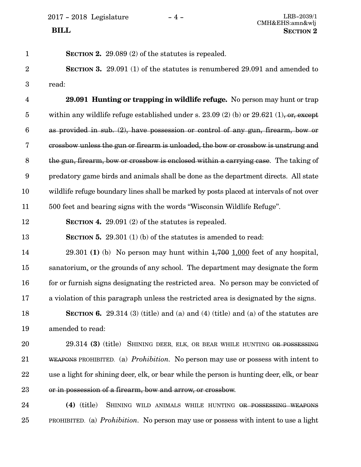25

| $\mathbf{1}$            | <b>SECTION 2.</b> 29.089 (2) of the statutes is repealed.                                 |
|-------------------------|-------------------------------------------------------------------------------------------|
| $\overline{2}$          | <b>SECTION 3.</b> 29.091 (1) of the statutes is renumbered 29.091 and amended to          |
| 3                       | read:                                                                                     |
| $\overline{\mathbf{4}}$ | 29.091 Hunting or trapping in wildlife refuge. No person may hunt or trap                 |
| $\overline{5}$          | within any wildlife refuge established under s. 23.09 (2) (b) or 29.621 (1), or, except   |
| $\boldsymbol{6}$        | as provided in sub. (2), have possession or control of any gun, firearm, bow or           |
| 7                       | crossbow unless the gun or firearm is unloaded, the bow or crossbow is unstrung and       |
| $8\,$                   | the gun, firearm, bow or crossbow is enclosed within a carrying case. The taking of       |
| $9\phantom{.0}$         | predatory game birds and animals shall be done as the department directs. All state       |
| 10                      | wildlife refuge boundary lines shall be marked by posts placed at intervals of not over   |
| 11                      | 500 feet and bearing signs with the words "Wisconsin Wildlife Refuge".                    |
| 12                      | SECTION 4. $29.091(2)$ of the statutes is repealed.                                       |
| 13                      | <b>SECTION 5.</b> 29.301 (1) (b) of the statutes is amended to read:                      |
| 14                      | 29.301 (1) (b) No person may hunt within $1,700$ 1,000 feet of any hospital,              |
| 15                      | sanatorium, or the grounds of any school. The department may designate the form           |
| 16                      | for or furnish signs designating the restricted area. No person may be convicted of       |
| 17                      | a violation of this paragraph unless the restricted area is designated by the signs.      |
| 18                      | <b>SECTION 6.</b> 29.314 (3) (title) and (a) and (4) (title) and (a) of the statutes are  |
| 19                      | amended to read:                                                                          |
| 20                      | 29.314 (3) (title) SHINING DEER, ELK, OR BEAR WHILE HUNTING OR POSSESSING                 |
| 21                      | WEAPONS PROHIBITED. (a) <i>Prohibition</i> . No person may use or possess with intent to  |
| 22                      | use a light for shining deer, elk, or bear while the person is hunting deer, elk, or bear |
| 23                      | or in possession of a firearm, bow and arrow, or crossbow.                                |
| 24                      | $(4)$ (title)<br>SHINING WILD ANIMALS WHILE HUNTING OR POSSESSING WEAPONS                 |
|                         |                                                                                           |

PROHIBITED. (a) *Prohibition.* No person may use or possess with intent to use a light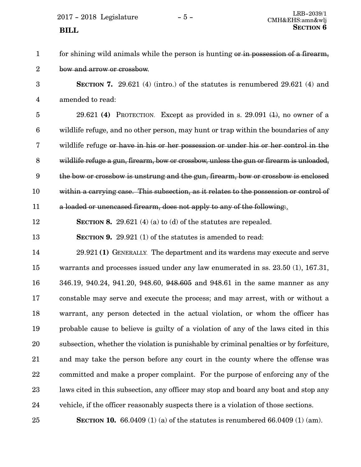for shining wild animals while the person is hunting or in possession of a firearm, bow and arrow or crossbow. 1 2

**SECTION 7.** 29.621 (4) (intro.) of the statutes is renumbered 29.621 (4) and amended to read: 3 4

29.621 **(4)** PROTECTION. Except as provided in s. 29.091 (1), no owner of a wildlife refuge, and no other person, may hunt or trap within the boundaries of any wildlife refuge or have in his or her possession or under his or her control in the wildlife refuge a gun, firearm, bow or crossbow, unless the gun or firearm is unloaded, the bow or crossbow is unstrung and the gun, firearm, bow or crossbow is enclosed within a carrying case. This subsection, as it relates to the possession or control of a loaded or unencased firearm, does not apply to any of the following:. 5 6 7 8 9 10 11

**SECTION 8.** 29.621 (4) (a) to (d) of the statutes are repealed. 12

**SECTION 9.** 29.921 (1) of the statutes is amended to read: 13

29.921 **(1)** GENERALLY. The department and its wardens may execute and serve warrants and processes issued under any law enumerated in ss. 23.50 (1), 167.31, 346.19, 940.24, 941.20, 948.60, 948.605 and 948.61 in the same manner as any constable may serve and execute the process; and may arrest, with or without a warrant, any person detected in the actual violation, or whom the officer has probable cause to believe is guilty of a violation of any of the laws cited in this subsection, whether the violation is punishable by criminal penalties or by forfeiture, and may take the person before any court in the county where the offense was committed and make a proper complaint. For the purpose of enforcing any of the laws cited in this subsection, any officer may stop and board any boat and stop any vehicle, if the officer reasonably suspects there is a violation of those sections. 14 15 16 17 18 19 20 21 22 23 24

25

**SECTION 10.** 66.0409 (1) (a) of the statutes is renumbered 66.0409 (1) (am).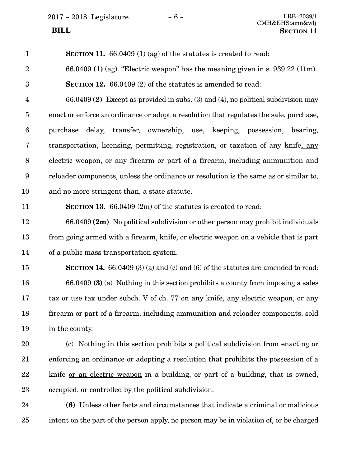2017 - 2018 Legislature - 6 -

| $\mathbf{1}$     | <b>SECTION 11.</b> 66.0409 (1) (ag) of the statutes is created to read:                 |
|------------------|-----------------------------------------------------------------------------------------|
| $\boldsymbol{2}$ | 66.0409 (1) (ag) "Electric weapon" has the meaning given in s. $939.22$ (11m).          |
| $\boldsymbol{3}$ | <b>SECTION 12.</b> 66.0409 (2) of the statutes is amended to read:                      |
| $\overline{4}$   | 66.0409 (2) Except as provided in subs. (3) and (4), no political subdivision may       |
| $\overline{5}$   | enact or enforce an ordinance or adopt a resolution that regulates the sale, purchase,  |
| 6                | delay, transfer, ownership, use, keeping, possession, bearing,<br>purchase              |
| 7                | transportation, licensing, permitting, registration, or taxation of any knife, any      |
| 8                | electric weapon, or any firearm or part of a firearm, including ammunition and          |
| 9                | reloader components, unless the ordinance or resolution is the same as or similar to,   |
| 10               | and no more stringent than, a state statute.                                            |
| 11               | <b>SECTION 13.</b> 66.0409 $(2m)$ of the statutes is created to read:                   |
| 12               | $66.0409$ (2m) No political subdivision or other person may prohibit individuals        |
| 13               | from going armed with a firearm, knife, or electric weapon on a vehicle that is part    |
| 14               | of a public mass transportation system.                                                 |
| 15               | <b>SECTION 14.</b> 66.0409 (3) (a) and (c) and (6) of the statutes are amended to read: |
| 16               | $66.0409$ (3) (a) Nothing in this section prohibits a county from imposing a sales      |
| 17               | tax or use tax under subch. V of ch. 77 on any knife, any electric weapon, or any       |
| 18               | firearm or part of a firearm, including ammunition and reloader components, sold        |
| 19               | in the county.                                                                          |
| 20               | (c) Nothing in this section prohibits a political subdivision from enacting or          |
| 21               | enforcing an ordinance or adopting a resolution that prohibits the possession of a      |
| 22               | knife <u>or an electric weapon</u> in a building, or part of a building, that is owned, |
| 23               | occupied, or controlled by the political subdivision.                                   |
| 24               | (6) Unless other facts and circumstances that indicate a criminal or malicious          |
| 25               | intent on the part of the person apply, no person may be in violation of, or be charged |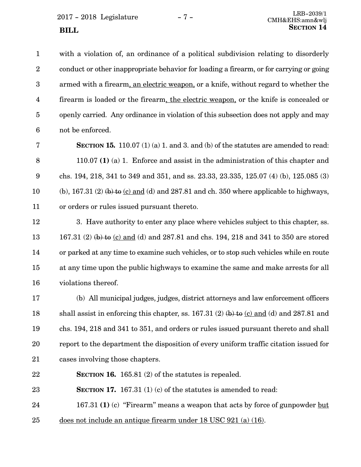**SECTION** 14

with a violation of, an ordinance of a political subdivision relating to disorderly conduct or other inappropriate behavior for loading a firearm, or for carrying or going armed with a firearm, an electric weapon, or a knife, without regard to whether the firearm is loaded or the firearm, the electric weapon, or the knife is concealed or openly carried. Any ordinance in violation of this subsection does not apply and may not be enforced. 1 2 3 4 5 6

**SECTION 15.** 110.07 (1) (a) 1. and 3. and (b) of the statutes are amended to read: 110.07 **(1)** (a) 1. Enforce and assist in the administration of this chapter and chs. 194, 218, 341 to 349 and 351, and ss. 23.33, 23.335, 125.07 (4) (b), 125.085 (3) (b),  $167.31$  (2) (b) to (c) and (d) and 287.81 and ch. 350 where applicable to highways, or orders or rules issued pursuant thereto. 7 8 9 10 11

3. Have authority to enter any place where vehicles subject to this chapter, ss. 167.31 (2) (b) to (c) and (d) and 287.81 and chs. 194, 218 and 341 to 350 are stored or parked at any time to examine such vehicles, or to stop such vehicles while en route at any time upon the public highways to examine the same and make arrests for all violations thereof. 12 13 14 15 16

(b) All municipal judges, judges, district attorneys and law enforcement officers shall assist in enforcing this chapter, ss.  $167.31$  (2)  $(b)$  to (c) and (d) and 287.81 and chs. 194, 218 and 341 to 351, and orders or rules issued pursuant thereto and shall report to the department the disposition of every uniform traffic citation issued for cases involving those chapters. 17 18 19 20 21

**SECTION 16.** 165.81 (2) of the statutes is repealed. 22

**SECTION 17.** 167.31 (1) (c) of the statutes is amended to read: 23

167.31 **(1)** (c) "Firearm" means a weapon that acts by force of gunpowder but 24

does not include an antique firearm under 18 USC 921 (a) (16). 25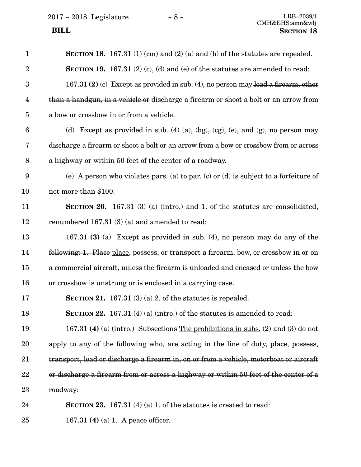$2017 - 2018$  Legislature  $- 8 -$  LRB-2039/1

| $\mathbf{1}$            | SECTION 18. 167.31 (1) (cm) and (2) (a) and (b) of the statutes are repealed.                |
|-------------------------|----------------------------------------------------------------------------------------------|
| $\overline{2}$          | SECTION 19. 167.31 $(2)$ $(c)$ , $(d)$ and $(e)$ of the statutes are amended to read:        |
| $\boldsymbol{3}$        | $167.31$ (2) (c) Except as provided in sub. (4), no person may load a firearm, other         |
| $\overline{\mathbf{4}}$ | than a handgun, in a vehicle or discharge a firearm or shoot a bolt or an arrow from         |
| $\overline{5}$          | a bow or crossbow in or from a vehicle.                                                      |
| $6\phantom{.}6$         | (d) Except as provided in sub. (4) (a), $(\frac{bg}{g})$ , (cg), (e), and (g), no person may |
| 7                       | discharge a firearm or shoot a bolt or an arrow from a bow or crossbow from or across        |
| $\, 8$                  | a highway or within 50 feet of the center of a roadway.                                      |
| $\boldsymbol{9}$        | (e) A person who violates pars. (a) to par. (c) or (d) is subject to a forfeiture of         |
| 10                      | not more than \$100.                                                                         |
| 11                      | <b>SECTION 20.</b> 167.31 (3) (a) (intro.) and 1. of the statutes are consolidated,          |
| 12                      | renumbered 167.31 (3) (a) and amended to read:                                               |
| 13                      | 167.31 (3) (a) Except as provided in sub. (4), no person may do any of the                   |
| 14                      | following: 1. Place place, possess, or transport a firearm, bow, or crossbow in or on        |
| 15                      | a commercial aircraft, unless the firearm is unloaded and encased or unless the bow          |
| 16                      | or crossbow is unstrung or is enclosed in a carrying case.                                   |
| 17                      | SECTION 21. $167.31(3)(a)$ 2. of the statutes is repealed.                                   |
| 18                      | SECTION 22. 167.31 (4) (a) (intro.) of the statutes is amended to read:                      |
| 19                      | 167.31 (4) (a) (intro.) Subsections The prohibitions in subs. (2) and (3) do not             |
| 20                      | apply to any of the following who, <u>are acting</u> in the line of duty, place, possess,    |
| 21                      | transport, load or discharge a firearm in, on or from a vehicle, motorboat or aircraft       |
| 22                      | or discharge a firearm from or across a highway or within 50 feet of the center of a         |
| 23                      | roadway:                                                                                     |
| 24                      | <b>SECTION 23.</b> 167.31 (4) (a) 1. of the statures is created to read:                     |
| 25                      | 167.31 (4) (a) 1. A peace officer.                                                           |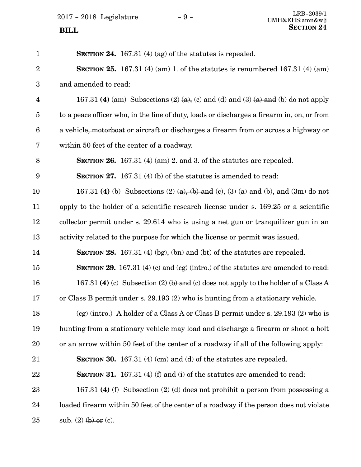2017 - 2018 Legislature - 9 -**SECTION** 24

| $\mathbf{1}$     | SECTION 24. 167.31 $(4)$ (ag) of the statutes is repealed.                                 |
|------------------|--------------------------------------------------------------------------------------------|
| $\overline{2}$   | <b>SECTION 25.</b> 167.31 (4) (am) 1. of the statutes is renumbered 167.31 (4) (am)        |
| $\boldsymbol{3}$ | and amended to read:                                                                       |
| $\overline{4}$   | 167.31 (4) (am) Subsections (2) (a), (c) and (d) and (3) (a) and (b) do not apply          |
| $\overline{5}$   | to a peace officer who, in the line of duty, loads or discharges a firearm in, on, or from |
| 6                | a vehicle, motorboat or aircraft or discharges a firearm from or across a highway or       |
| 7                | within 50 feet of the center of a roadway.                                                 |
| 8                | SECTION 26. 167.31 (4) (am) 2. and 3. of the statutes are repealed.                        |
| 9                | <b>SECTION 27.</b> 167.31 (4) (b) of the statutes is amended to read:                      |
| 10               | 167.31 (4) (b) Subsections (2) (a), (b) and (c), (3) (a) and (b), and (3m) do not          |
| 11               | apply to the holder of a scientific research license under s. 169.25 or a scientific       |
| 12               | collector permit under s. 29.614 who is using a net gun or tranquilizer gun in an          |
| 13               | activity related to the purpose for which the license or permit was issued.                |
| 14               | <b>SECTION 28.</b> 167.31 (4) (bg), (bn) and (bt) of the statutes are repealed.            |
| 15               | <b>SECTION 29.</b> 167.31 (4) (c) and (cg) (intro.) of the statutes are amended to read:   |
| 16               | 167.31 (4) (c) Subsection (2) $(b)$ and (c) does not apply to the holder of a Class A      |
| 17               | or Class B permit under s. 29.193 (2) who is hunting from a stationary vehicle.            |
| 18               | $(cg)$ (intro.) A holder of a Class A or Class B permit under s. 29.193 (2) who is         |
| 19               | hunting from a stationary vehicle may load and discharge a firearm or shoot a bolt         |
| 20               | or an arrow within 50 feet of the center of a roadway if all of the following apply:       |
| $21\,$           | <b>SECTION 30.</b> 167.31 (4) (cm) and (d) of the statures are repealed.                   |
| 22               | <b>SECTION 31.</b> 167.31 (4) (f) and (i) of the statutes are amended to read:             |
| 23               | 167.31 (4) (f) Subsection (2) (d) does not prohibit a person from possessing a             |
| 24               | loaded firearm within 50 feet of the center of a roadway if the person does not violate    |
| 25               | sub. $(2)$ (b) or (c).                                                                     |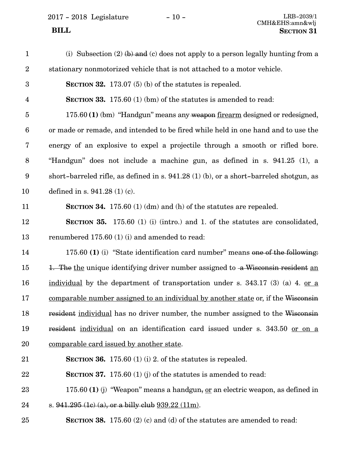2017 - 2018 Legislature - 10 -

| $\mathbf{1}$            | (i) Subsection (2) $(b)$ and (c) does not apply to a person legally hunting from a     |
|-------------------------|----------------------------------------------------------------------------------------|
| $\sqrt{2}$              | stationary nonmotorized vehicle that is not attached to a motor vehicle.               |
| $\boldsymbol{3}$        | <b>SECTION 32.</b> 173.07 (5) (b) of the statutes is repealed.                         |
| $\overline{\mathbf{4}}$ | <b>SECTION 33.</b> 175.60 $(1)$ (bm) of the statutes is amended to read:               |
| $\overline{5}$          | 175.60 (1) (bm) "Handgun" means any weapon firearm designed or redesigned,             |
| $6\phantom{.}6$         | or made or remade, and intended to be fired while held in one hand and to use the      |
| 7                       | energy of an explosive to expel a projectile through a smooth or rifled bore.          |
| 8                       | "Handgun" does not include a machine gun, as defined in s. 941.25 (1), a               |
| $\boldsymbol{9}$        | short-barreled rifle, as defined in s. 941.28 (1) (b), or a short-barreled shotgun, as |
| 10                      | defined in s. $941.28(1)(c)$ .                                                         |
| 11                      | <b>SECTION 34.</b> 175.60 (1) (dm) and (h) of the statutes are repealed.               |
| 12                      | <b>SECTION 35.</b> 175.60 (1) (i) (intro.) and 1. of the statutes are consolidated,    |
| 13                      | renumbered 175.60 (1) (i) and amended to read:                                         |
| 14                      | 175.60 (1) (i) "State identification card number" means one of the following:          |
| 15                      | 1. The the unique identifying driver number assigned to a Wisconsin resident an        |
| 16                      | individual by the department of transportation under s. $343.17$ (3) (a) 4. or a       |
| 17                      | comparable number assigned to an individual by another state or, if the Wisconsin      |
| 18                      | resident individual has no driver number, the number assigned to the Wisconsin         |
| 19                      | resident individual on an identification card issued under s. 343.50 or on a           |
| 20                      | <u>comparable card issued by another state</u> .                                       |
| 21                      | <b>SECTION 36.</b> 175.60 (1) (i) 2. of the statures is repealed.                      |
| 22                      | <b>SECTION 37.</b> 175.60 (1) (j) of the statutes is amended to read:                  |
| 23                      | 175.60 (1) (j) "Weapon" means a handgun, <u>or</u> an electric weapon, as defined in   |
| 24                      | s. $941.295$ (1c) (a), or a billy club $939.22$ (11m).                                 |
| 25                      | <b>SECTION 38.</b> 175.60 (2) (c) and (d) of the statutes are amended to read:         |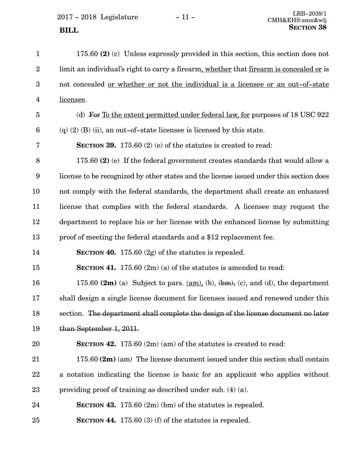2017 - 2018 Legislature - 11 - **SECTION** 38

| $\mathbf{1}$            | 175.60 (2) (c) Unless expressly provided in this section, this section does not                                |
|-------------------------|----------------------------------------------------------------------------------------------------------------|
| $\overline{2}$          | limit an individual's right to carry a firearm, whether that firearm is concealed or is                        |
| 3                       | not concealed <u>or whether or not the individual is a licensee or an out-of-state</u>                         |
| $\overline{\mathbf{4}}$ | licensee.                                                                                                      |
| $\overline{5}$          | (d) For <u>To the extent permitted under federal law, for</u> purposes of 18 USC 922                           |
| $6\phantom{.}6$         | $(q)$ (2) (B) (ii), an out-of-state licensee is licensed by this state.                                        |
| 7                       | <b>SECTION 39.</b> 175.60 (2) (e) of the statutes is created to read:                                          |
| 8                       | 175.60 (2) (e) If the federal government creates standards that would allow a                                  |
| 9                       | license to be recognized by other states and the license issued under this section does                        |
| 10                      | not comply with the federal standards, the department shall create an enhanced                                 |
| 11                      | license that complies with the federal standards. A licensee may request the                                   |
| 12                      | department to replace his or her license with the enhanced license by submitting                               |
| 13                      | proof of meeting the federal standards and a \$12 replacement fee.                                             |
| 14                      | SECTION 40. 175.60 $(2g)$ of the statutes is repealed.                                                         |
| 15                      | SECTION 41. 175.60 $(2m)(a)$ of the statutes is amended to read:                                               |
| 16                      | 175.60 $(2m)$ (a) Subject to pars. $(\underline{am})$ , (b), $(\underline{bm})$ , (c), and (d), the department |
| 17                      | shall design a single license document for licenses issued and renewed under this                              |
| 18                      | section. The department shall complete the design of the license document no later                             |
| 19                      | than September 1, 2011.                                                                                        |
| 20                      | <b>SECTION 42.</b> 175.60 $(2m)$ (am) of the statutes is created to read:                                      |
| 21                      | $175.60$ (2m) (am) The license document issued under this section shall contain                                |
| 22                      | a notation indicating the license is basic for an applicant who applies without                                |
| 23                      | providing proof of training as described under sub. (4) (a).                                                   |
| 24                      | SECTION 43. 175.60 $(2m)$ (bm) of the statutes is repealed.                                                    |
| 25                      | SECTION 44. $175.60$ (3) (f) of the statutes is repealed.                                                      |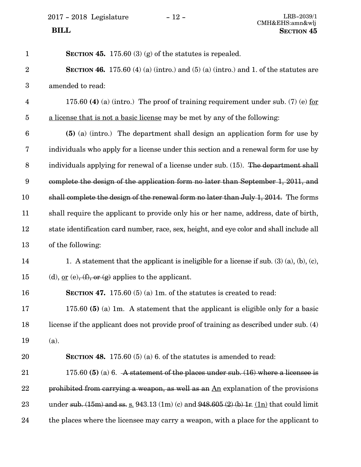2017 - 2018 Legislature - 12 -

| $\mathbf{1}$     | SECTION 45. 175.60 (3) (g) of the statutes is repealed.                                             |
|------------------|-----------------------------------------------------------------------------------------------------|
| $\overline{2}$   | <b>SECTION 46.</b> 175.60 (4) (a) (intro.) and (5) (a) (intro.) and 1. of the statutes are          |
| $\boldsymbol{3}$ | amended to read:                                                                                    |
| $\overline{4}$   | 175.60 (4) (a) (intro.) The proof of training requirement under sub. (7) (e) for                    |
| $\overline{5}$   | a license that is not a basic license may be met by any of the following:                           |
| $6\phantom{.}6$  | (5) (a) (intro.) The department shall design an application form for use by                         |
| 7                | individuals who apply for a license under this section and a renewal form for use by                |
| 8                | individuals applying for renewal of a license under sub. (15). The department shall                 |
| 9                | complete the design of the application form no later than September 1, 2011, and                    |
| 10               | shall complete the design of the renewal form no later than July 1, 2014. The forms                 |
| 11               | shall require the applicant to provide only his or her name, address, date of birth,                |
| 12               | state identification card number, race, sex, height, and eye color and shall include all            |
| 13               | of the following:                                                                                   |
| 14               | 1. A statement that the applicant is ineligible for a license if sub. $(3)$ $(a)$ , $(b)$ , $(c)$ , |
| 15               | (d), <u>or</u> (e), $(f)$ , or (g) applies to the applicant.                                        |
| 16               | SECTION 47. 175.60 $(5)$ (a) 1m. of the statutes is created to read:                                |
| 17               | 175.60 (5) (a) 1m. A statement that the applicant is eligible only for a basic                      |
| 18               | license if the applicant does not provide proof of training as described under sub. (4)             |
| 19               | (a).                                                                                                |
| 20               | <b>SECTION 48.</b> 175.60 (5) (a) 6. of the statutes is amended to read:                            |
| 21               | 175.60 (5) (a) 6. A statement of the places under sub. $(16)$ where a licensee is                   |
| 22               | prohibited from carrying a weapon, as well as an $\underline{An}$ explanation of the provisions     |
| 23               | under sub. $(15m)$ and ss. s. 943.13 (1m) (c) and 948.605 (2) (b) 1r. (1n) that could limit         |
| 24               | the places where the licensee may carry a weapon, with a place for the applicant to                 |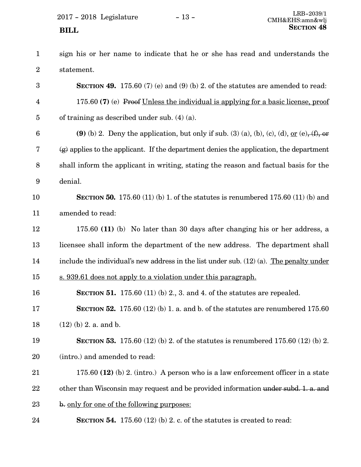$2017 - 2018$  Legislature  $-13 -$ <br>CMH&EHS.ong & The CMHAEHS.ong & The CMHAEHS.ong & The CMHAEHS.ong & The CMHAEHS.com & The CMHAEHS.com & The CM

sign his or her name to indicate that he or she has read and understands the statement. **SECTION 49.** 175.60 (7) (e) and (9) (b) 2. of the statutes are amended to read: 1 2 3

175.60 **(7)** (e) Proof Unless the individual is applying for a basic license, proof of training as described under sub. (4) (a). 4 5

**(9)** (b) 2. Deny the application, but only if sub. (3) (a), (b), (c), (d), <u>or</u> (e),  $(f)$ , or  $\left(\varrho\right)$  applies to the applicant. If the department denies the application, the department shall inform the applicant in writing, stating the reason and factual basis for the denial. 6 7 8 9

#### **SECTION 50.** 175.60 (11) (b) 1. of the statutes is renumbered 175.60 (11) (b) and amended to read: 10 11

- 175.60 **(11)** (b) No later than 30 days after changing his or her address, a licensee shall inform the department of the new address. The department shall include the individual's new address in the list under sub. (12) (a). The penalty under s. 939.61 does not apply to a violation under this paragraph. 12 13 14 15
- **SECTION 51.** 175.60 (11) (b) 2., 3. and 4. of the statutes are repealed. 16
- **SECTION 52.** 175.60 (12) (b) 1. a. and b. of the statutes are renumbered 175.60 (12) (b) 2. a. and b. 17 18

#### **SECTION 53.** 175.60 (12) (b) 2. of the statutes is renumbered 175.60 (12) (b) 2. (intro.) and amended to read: 19 20

- 175.60 **(12)** (b) 2. (intro.) A person who is a law enforcement officer in a state other than Wisconsin may request and be provided information under subd. 1. a. and b. only for one of the following purposes: 21 22 23
- **SECTION 54.** 175.60 (12) (b) 2. c. of the statutes is created to read: 24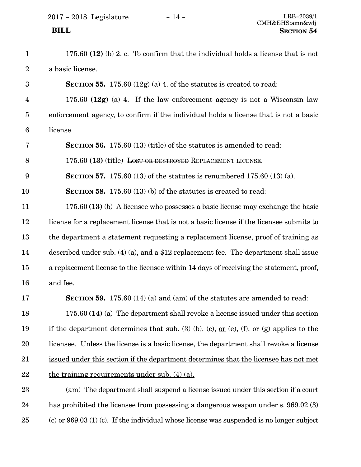| $\mathbf{1}$            | 175.60 $(12)$ (b) 2. c. To confirm that the individual holds a license that is not                 |
|-------------------------|----------------------------------------------------------------------------------------------------|
| $\sqrt{2}$              | a basic license.                                                                                   |
| $\boldsymbol{3}$        | <b>SECTION 55.</b> 175.60 (12g) (a) 4. of the statures is created to read:                         |
| $\overline{\mathbf{4}}$ | 175.60 $(12g)$ (a) 4. If the law enforcement agency is not a Wisconsin law                         |
| $\overline{5}$          | enforcement agency, to confirm if the individual holds a license that is not a basic               |
| $\boldsymbol{6}$        | license.                                                                                           |
| 7                       | <b>SECTION 56.</b> 175.60 (13) (title) of the statutes is amended to read:                         |
| 8                       | 175.60 (13) (title) LOST OR DESTROYED REPLACEMENT LICENSE.                                         |
| $\boldsymbol{9}$        | <b>SECTION 57.</b> 175.60 (13) of the statutes is renumbered 175.60 (13) (a).                      |
| 10                      | <b>SECTION 58.</b> 175.60 $(13)$ (b) of the statutes is created to read:                           |
| 11                      | 175.60 (13) (b) A licensee who possesses a basic license may exchange the basic                    |
| 12                      | license for a replacement license that is not a basic license if the licensee submits to           |
| 13                      | the department a statement requesting a replacement license, proof of training as                  |
| 14                      | described under sub. $(4)$ (a), and a \$12 replacement fee. The department shall issue             |
| 15                      | a replacement license to the licensee within 14 days of receiving the statement, proof,            |
| 16                      | and fee.                                                                                           |
| 17                      | <b>SECTION 59.</b> 175.60 (14) (a) and (am) of the statutes are amended to read:                   |
| 18                      | $175.60$ (14) (a) The department shall revoke a license issued under this section                  |
| 19                      | if the department determines that sub. (3) (b), (c), <u>or</u> (e), (f), or (g) applies to the     |
| 20                      | licensee. Unless the license is a basic license, the department shall revoke a license             |
| 21                      | issued under this section if the department determines that the licensee has not met               |
| 22                      | the training requirements under sub. $(4)$ $(a)$ .                                                 |
| 23                      | (am) The department shall suspend a license issued under this section if a court                   |
| 24                      | has prohibited the licensee from possessing a dangerous weapon under s. 969.02 (3)                 |
| 25                      | $\alpha$ (c) or 969.03 (1) (c). If the individual whose license was suspended is no longer subject |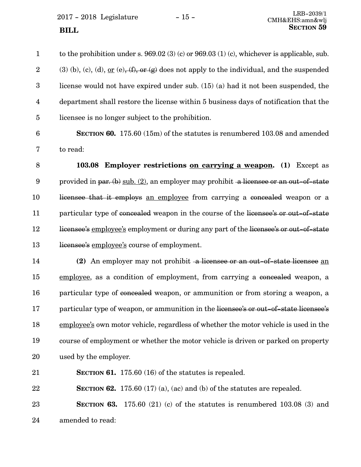$2017 - 2018$  Legislature  $-15 -$ <br>CMH&EHS.ong & The CMHAEHS.ong & The CMHAEHS.ong & The CMHAEHS.ong & The CMHAEHS.com & The CMHAEHS.com & The CM **SECTION** 59

to the prohibition under s. 969.02 (3) (c) or 969.03 (1) (c), whichever is applicable, sub. (3) (b), (c), (d), <u>or</u> (e),  $(f)$ , or  $(g)$  does not apply to the individual, and the suspended license would not have expired under sub. (15) (a) had it not been suspended, the department shall restore the license within 5 business days of notification that the licensee is no longer subject to the prohibition. 1 2 3 4 5

6

7

**SECTION 60.** 175.60 (15m) of the statutes is renumbered 103.08 and amended to read:

**103.08 Employer restrictions on carrying a weapon. (1)** Except as provided in par. (b)  $\text{sub.} (2)$ , an employer may prohibit a licensee or an out-of-state licensee that it employs an employee from carrying a concealed weapon or a particular type of concealed weapon in the course of the licensee's or out-of-state licensee's employee's employment or during any part of the licensee's or out-of-state licensee's employee's course of employment. 8 9 10 11 12 13

**(2)** An employer may not prohibit a licensee or an out-of-state licensee an employee, as a condition of employment, from carrying a concealed weapon, a particular type of concealed weapon, or ammunition or from storing a weapon, a particular type of weapon, or ammunition in the licensee's or out-of-state licensee's employee's own motor vehicle, regardless of whether the motor vehicle is used in the course of employment or whether the motor vehicle is driven or parked on property used by the employer. 14 15 16 17 18 19 20

**SECTION 61.** 175.60 (16) of the statutes is repealed. 21

**SECTION 62.** 175.60 (17) (a), (ac) and (b) of the statutes are repealed. 22

**SECTION 63.** 175.60 (21) (c) of the statutes is renumbered 103.08 (3) and amended to read: 23 24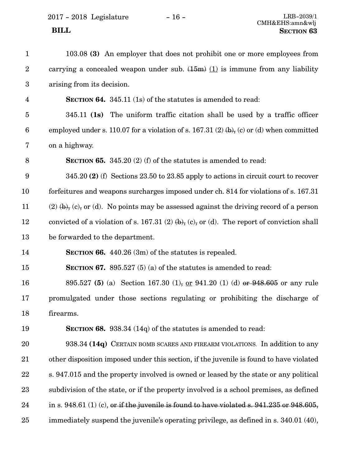| $\mathbf{1}$            | 103.08 (3) An employer that does not prohibit one or more employees from                       |
|-------------------------|------------------------------------------------------------------------------------------------|
| $\boldsymbol{2}$        | carrying a concealed weapon under sub. $(15m)$ (1) is immune from any liability                |
| $\boldsymbol{3}$        | arising from its decision.                                                                     |
| $\overline{\mathbf{4}}$ | <b>SECTION 64.</b> 345.11 (1s) of the statutes is amended to read:                             |
| $\overline{5}$          | $345.11$ (1s) The uniform traffic citation shall be used by a traffic officer                  |
| $6\phantom{.}6$         | employed under s. 110.07 for a violation of s. 167.31 (2) $(b)$ , (c) or (d) when committed    |
| $\bf 7$                 | on a highway.                                                                                  |
| 8                       | <b>SECTION 65.</b> 345.20 (2) (f) of the statutes is amended to read:                          |
| $9\phantom{.0}$         | $345.20$ (2) (f) Sections 23.50 to 23.85 apply to actions in circuit court to recover          |
| 10                      | forfeitures and weapons surcharges imposed under ch. 814 for violations of s. 167.31           |
| $11\,$                  | $(2)$ (b), (c), or (d). No points may be assessed against the driving record of a person       |
| 12                      | convicted of a violation of s. 167.31 (2) $(b)$ , (c), or (d). The report of conviction shall  |
| 13                      | be forwarded to the department.                                                                |
| 14                      | <b>SECTION 66.</b> 440.26 $(3m)$ of the statutes is repealed.                                  |
| 15                      | <b>SECTION 67.</b> 895.527 (5) (a) of the statures is amended to read:                         |
| 16                      | 895.527 (5) (a) Section 167.30 (1), or 941.20 (1) (d) or 948.605 or any rule                   |
| 17                      | promulgated under those sections regulating or prohibiting the discharge of                    |
| 18                      | firearms.                                                                                      |
| 19                      | <b>SECTION 68.</b> 938.34 (14q) of the statutes is amended to read:                            |
| 20                      | 938.34 (14q) CERTAIN BOMB SCARES AND FIREARM VIOLATIONS. In addition to any                    |
| 21                      | other disposition imposed under this section, if the juvenile is found to have violated        |
| 22                      | s. 947.015 and the property involved is owned or leased by the state or any political          |
| 23                      | subdivision of the state, or if the property involved is a school premises, as defined         |
| 24                      | in s. 948.61 (1) (c), or if the juvenile is found to have violated s. $941.235$ or $948.605$ , |
| 25                      | immediately suspend the juvenile's operating privilege, as defined in s. 340.01 (40),          |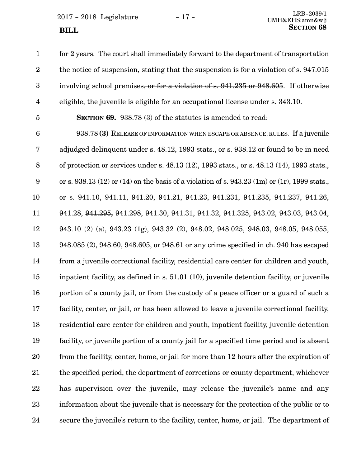$2017 - 2018$  Legislature  $-17 -$ <br>CMH&EHS.ong & The CMHARES.ong & The CMHARES. **SECTION** 68

for 2 years. The court shall immediately forward to the department of transportation the notice of suspension, stating that the suspension is for a violation of s. 947.015 involving school premises, or for a violation of s. 941.235 or 948.605. If otherwise eligible, the juvenile is eligible for an occupational license under s. 343.10. **SECTION 69.** 938.78 (3) of the statutes is amended to read: 938.78 **(3)** RELEASE OF INFORMATION WHEN ESCAPE OR ABSENCE; RULES. If a juvenile adjudged delinquent under s. 48.12, 1993 stats., or s. 938.12 or found to be in need of protection or services under s. 48.13 (12), 1993 stats., or s. 48.13 (14), 1993 stats., or s. 938.13 (12) or (14) on the basis of a violation of s. 943.23 (1m) or (1r), 1999 stats., or s. 941.10, 941.11, 941.20, 941.21, 941.23, 941.231, 941.235, 941.237, 941.26, 941.28, 941.295, 941.298, 941.30, 941.31, 941.32, 941.325, 943.02, 943.03, 943.04, 943.10 (2) (a), 943.23 (1g), 943.32 (2), 948.02, 948.025, 948.03, 948.05, 948.055, 948.085 (2), 948.60, 948.605, or 948.61 or any crime specified in ch. 940 has escaped from a juvenile correctional facility, residential care center for children and youth, inpatient facility, as defined in s. 51.01 (10), juvenile detention facility, or juvenile portion of a county jail, or from the custody of a peace officer or a guard of such a facility, center, or jail, or has been allowed to leave a juvenile correctional facility, residential care center for children and youth, inpatient facility, juvenile detention facility, or juvenile portion of a county jail for a specified time period and is absent from the facility, center, home, or jail for more than 12 hours after the expiration of the specified period, the department of corrections or county department, whichever has supervision over the juvenile, may release the juvenile's name and any information about the juvenile that is necessary for the protection of the public or to secure the juvenile's return to the facility, center, home, or jail. The department of 1 2 3 4 5 6 7 8 9 10 11 12 13 14 15 16 17 18 19 20 21 22 23 24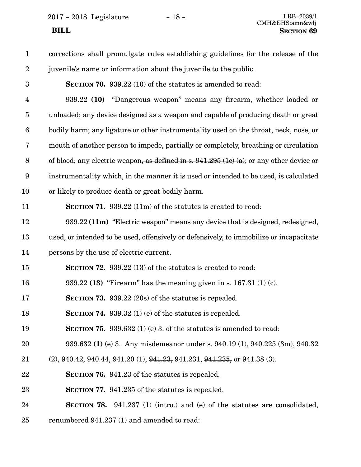2017 - 2018 Legislature - 18 - LRB-2039/1

| $\mathbf{1}$            | corrections shall promulgate rules establishing guidelines for the release of the          |
|-------------------------|--------------------------------------------------------------------------------------------|
| $\overline{2}$          | juvenile's name or information about the juvenile to the public.                           |
| $\boldsymbol{3}$        | <b>SECTION 70.</b> 939.22 (10) of the statutes is amended to read:                         |
| $\overline{\mathbf{4}}$ | 939.22 (10) "Dangerous weapon" means any firearm, whether loaded or                        |
| $\overline{5}$          | unloaded; any device designed as a weapon and capable of producing death or great          |
| $6\phantom{.}6$         | bodily harm; any ligature or other instrumentality used on the throat, neck, nose, or      |
| 7                       | mouth of another person to impede, partially or completely, breathing or circulation       |
| $8\,$                   | of blood; any electric weapon, as defined in s. $941.295$ (1c) (a); or any other device or |
| $9\phantom{.0}$         | instrumentality which, in the manner it is used or intended to be used, is calculated      |
| 10                      | or likely to produce death or great bodily harm.                                           |
| 11                      | <b>SECTION 71.</b> 939.22 (11m) of the statutes is created to read:                        |
| 12                      | 939.22 (11m) "Electric weapon" means any device that is designed, redesigned,              |
| 13                      | used, or intended to be used, offensively or defensively, to immobilize or incapacitate    |
| 14                      | persons by the use of electric current.                                                    |
| 15                      | <b>SECTION 72.</b> 939.22 (13) of the statutes is created to read:                         |
| 16                      | 939.22 (13) "Firearm" has the meaning given in s. $167.31(1)(c)$ .                         |
| 17                      | SECTION 73. $939.22(20s)$ of the statutes is repealed.                                     |
| 18                      | <b>SECTION 74.</b> 939.32 (1) (e) of the statutes is repealed.                             |
| 19                      | <b>SECTION 75.</b> 939.632 (1) (e) 3. of the statutes is amended to read:                  |
| 20                      | 939.632 (1) (e) 3. Any misdemeanor under s. 940.19 (1), 940.225 (3m), 940.32               |
| 21                      | $(2)$ , 940.42, 940.44, 941.20 $(1)$ , 941.23, 941.231, 941.235, or 941.38 $(3)$ .         |
| 22                      | <b>SECTION 76.</b> 941.23 of the statutes is repealed.                                     |
| 23                      | <b>SECTION 77.</b> 941.235 of the statutes is repealed.                                    |
| 24                      | <b>SECTION 78.</b> 941.237 (1) (intro.) and (e) of the statutes are consolidated,          |
| 25                      | renumbered 941.237 (1) and amended to read:                                                |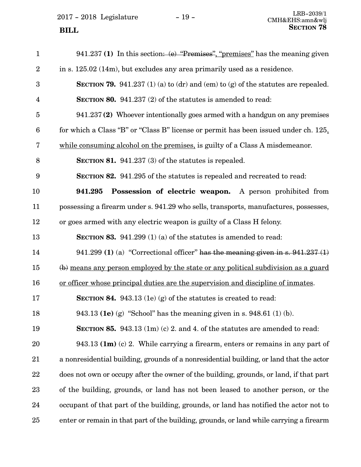$2017 - 2018$  Legislature  $-19 -$ <br>CMH&EHS.ong & The CMHAEHS.ong & The CMHAEHS.ong & The CMHAEHS.ong & The CMHAEHS.com & The CMHAEHS.com & The CM

941.237 **(1)** In this section: (e) "Premises", "premises" has the meaning given in s. 125.02 (14m), but excludes any area primarily used as a residence. **SECTION 79.** 941.237 (1) (a) to (dr) and (em) to (g) of the statutes are repealed. **SECTION 80.** 941.237 (2) of the statutes is amended to read: 941.237 **(2)** Whoever intentionally goes armed with a handgun on any premises for which a Class "B" or "Class B" license or permit has been issued under ch. 125, while consuming alcohol on the premises, is guilty of a Class A misdemeanor. **SECTION 81.** 941.237 (3) of the statutes is repealed. **SECTION 82.** 941.295 of the statutes is repealed and recreated to read: **941.295 Possession of electric weapon.** A person prohibited from possessing a firearm under s. 941.29 who sells, transports, manufactures, possesses, or goes armed with any electric weapon is guilty of a Class H felony. **SECTION 83.** 941.299 (1) (a) of the statutes is amended to read: 941.299 **(1)** (a) "Correctional officer" has the meaning given in s. 941.237 (1) (b) means any person employed by the state or any political subdivision as a guard or officer whose principal duties are the supervision and discipline of inmates. **SECTION 84.** 943.13 (1e) (g) of the statutes is created to read: 943.13 **(1e)** (g) "School" has the meaning given in s. 948.61 (1) (b). **SECTION 85.** 943.13 (1m) (c) 2. and 4. of the statutes are amended to read: 943.13 **(1m)** (c) 2. While carrying a firearm, enters or remains in any part of a nonresidential building, grounds of a nonresidential building, or land that the actor does not own or occupy after the owner of the building, grounds, or land, if that part of the building, grounds, or land has not been leased to another person, or the occupant of that part of the building, grounds, or land has notified the actor not to enter or remain in that part of the building, grounds, or land while carrying a firearm 1 2 3 4 5 6 7 8 9 10 11 12 13 14 15 16 17 18 19 20 21 22 23 24 25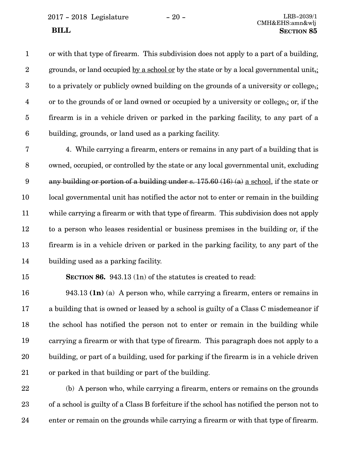2017 - 2018 Legislature - 20 - LRB-2039/1

or with that type of firearm. This subdivision does not apply to a part of a building, grounds, or land occupied by a school or by the state or by a local governmental unit,; to a privately or publicly owned building on the grounds of a university or college,; or to the grounds of or land owned or occupied by a university or college,; or, if the firearm is in a vehicle driven or parked in the parking facility, to any part of a building, grounds, or land used as a parking facility. 1 2 3 4 5 6

4. While carrying a firearm, enters or remains in any part of a building that is owned, occupied, or controlled by the state or any local governmental unit, excluding any building or portion of a building under s. 175.60 (16) (a) a school, if the state or local governmental unit has notified the actor not to enter or remain in the building while carrying a firearm or with that type of firearm. This subdivision does not apply to a person who leases residential or business premises in the building or, if the firearm is in a vehicle driven or parked in the parking facility, to any part of the building used as a parking facility. 7 8 9 10 11 12 13 14

15

**SECTION 86.** 943.13 (1n) of the statutes is created to read:

943.13 **(1n)** (a) A person who, while carrying a firearm, enters or remains in a building that is owned or leased by a school is guilty of a Class C misdemeanor if the school has notified the person not to enter or remain in the building while carrying a firearm or with that type of firearm. This paragraph does not apply to a building, or part of a building, used for parking if the firearm is in a vehicle driven or parked in that building or part of the building. 16 17 18 19 20 21

(b) A person who, while carrying a firearm, enters or remains on the grounds of a school is guilty of a Class B forfeiture if the school has notified the person not to enter or remain on the grounds while carrying a firearm or with that type of firearm. 22 23 24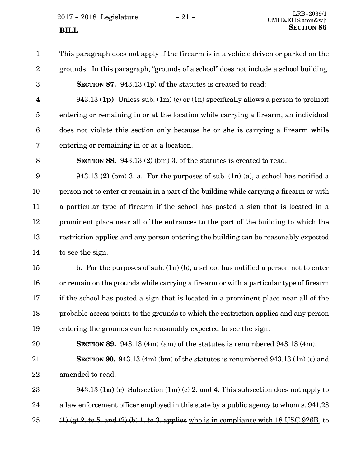$2017 - 2018$  Legislature  $-21 -$ <br>CMH&FHS.omn&wli **SECTION** 86

- 1
- 2 3

This paragraph does not apply if the firearm is in a vehicle driven or parked on the grounds. In this paragraph, "grounds of a school" does not include a school building. **SECTION 87.** 943.13 (1p) of the statutes is created to read:

4

943.13 **(1p)** Unless sub. (1m) (c) or (1n) specifically allows a person to prohibit entering or remaining in or at the location while carrying a firearm, an individual does not violate this section only because he or she is carrying a firearm while entering or remaining in or at a location. 5 6 7

8

**SECTION 88.** 943.13 (2) (bm) 3. of the statutes is created to read:

943.13 **(2)** (bm) 3. a. For the purposes of sub. (1n) (a), a school has notified a person not to enter or remain in a part of the building while carrying a firearm or with a particular type of firearm if the school has posted a sign that is located in a prominent place near all of the entrances to the part of the building to which the restriction applies and any person entering the building can be reasonably expected to see the sign. 9 10 11 12 13 14

b. For the purposes of sub. (1n) (b), a school has notified a person not to enter or remain on the grounds while carrying a firearm or with a particular type of firearm if the school has posted a sign that is located in a prominent place near all of the probable access points to the grounds to which the restriction applies and any person entering the grounds can be reasonably expected to see the sign. 15 16 17 18 19

**SECTION 89.** 943.13 (4m) (am) of the statutes is renumbered 943.13 (4m). 20

**SECTION 90.** 943.13 (4m) (bm) of the statutes is renumbered 943.13 (1n) (c) and amended to read: 21 22

943.13 **(1n)** (c) Subsection (1m) (c) 2. and 4. This subsection does not apply to a law enforcement officer employed in this state by a public agency to whom s. 941.23  $(1)$  (g) 2, to 5, and (2) (b) 1, to 3, applies who is in compliance with 18 USC 926B, to 23 24 25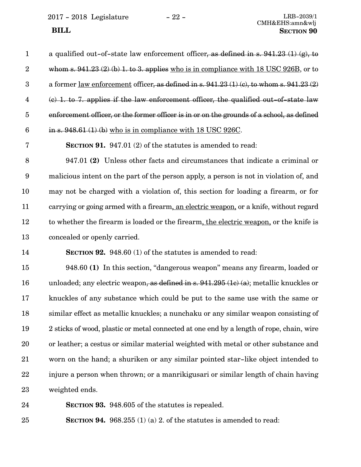2017 - 2018 Legislature - 22 - LRB-2039/1

CMH&EHS:amn&wlj  **BILL SECTION 90**

#### a qualified out-of-state law enforcement officer, as defined in s.  $941.23$  (1) (g), to whom s.  $941.23$  (2) (b) 1, to 3, applies who is in compliance with 18 USC 926B, or to a former law enforcement officer, as defined in s.  $941.23(1)(c)$ , to whom s.  $941.23(2)$ (c) 1. to 7. applies if the law enforcement officer, the qualified out-of-state law enforcement officer, or the former officer is in or on the grounds of a school, as defined in s. 948.61 (1) (b) who is in compliance with 18 USC 926C. 1 2 3 4 5 6

7

**SECTION 91.** 947.01 (2) of the statutes is amended to read:

947.01 **(2)** Unless other facts and circumstances that indicate a criminal or malicious intent on the part of the person apply, a person is not in violation of, and may not be charged with a violation of, this section for loading a firearm, or for carrying or going armed with a firearm, an electric weapon, or a knife, without regard to whether the firearm is loaded or the firearm, the electric weapon, or the knife is concealed or openly carried. 8 9 10 11 12 13

**SECTION 92.** 948.60 (1) of the statutes is amended to read: 14

948.60 **(1)** In this section, "dangerous weapon" means any firearm, loaded or unloaded; any electric weapon, as defined in s. 941.295 (1c) (a); metallic knuckles or knuckles of any substance which could be put to the same use with the same or similar effect as metallic knuckles; a nunchaku or any similar weapon consisting of 2 sticks of wood, plastic or metal connected at one end by a length of rope, chain, wire or leather; a cestus or similar material weighted with metal or other substance and worn on the hand; a shuriken or any similar pointed star-like object intended to injure a person when thrown; or a manrikigusari or similar length of chain having weighted ends. 15 16 17 18 19 20 21 22 23

24

**SECTION 93.** 948.605 of the statutes is repealed.

**SECTION 94.** 968.255 (1) (a) 2. of the statutes is amended to read: 25